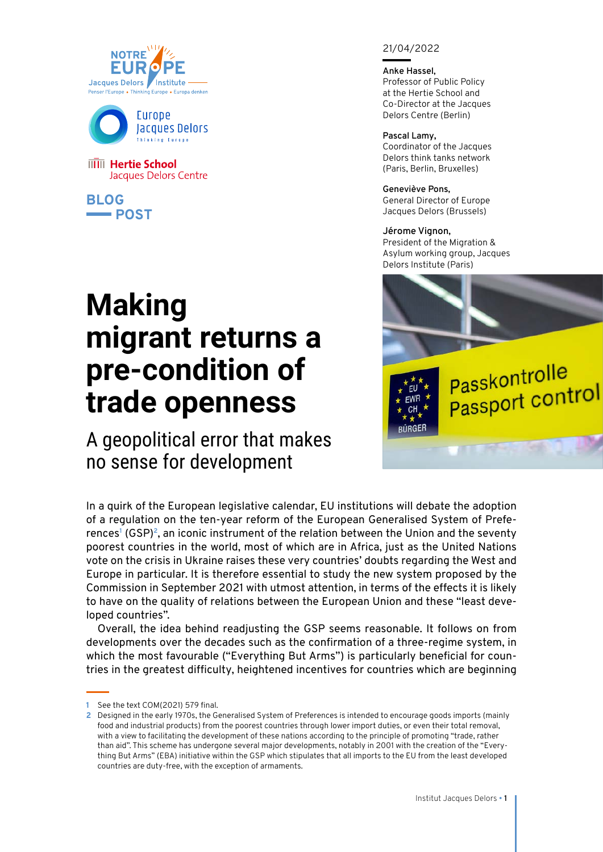



**IIIII** Hertie School Jacques Delors Centre

**BLOG POST**  21/04/2022

**Anke Hassel,** Professor of Public Policy at the Hertie School and Co-Director at the Jacques Delors Centre (Berlin)

**Pascal Lamy,** Coordinator of the Jacques Delors think tanks network (Paris, Berlin, Bruxelles)

**Geneviève Pons,**  General Director of Europe Jacques Delors (Brussels)

> FU EWR  $CH$ **BÜRGER**

**Jérome Vignon,** President of the Migration & Asylum working group, Jacques Delors Institute (Paris)

**Passkontrolle** 

Passkonmont<br>Passport control

## **Making migrant returns a pre-condition of trade openness**

A geopolitical error that makes no sense for development

In a quirk of the European legislative calendar, EU institutions will debate the adoption of a regulation on the ten-year reform of the European Generalised System of Preferences**<sup>1</sup>** (GSP)**<sup>2</sup>**, an iconic instrument of the relation between the Union and the seventy poorest countries in the world, most of which are in Africa, just as the United Nations vote on the crisis in Ukraine raises these very countries' doubts regarding the West and Europe in particular. It is therefore essential to study the new system proposed by the Commission in September 2021 with utmost attention, in terms of the effects it is likely to have on the quality of relations between the European Union and these "least developed countries".

Overall, the idea behind readjusting the GSP seems reasonable. It follows on from developments over the decades such as the confirmation of a three-regime system, in which the most favourable ("Everything But Arms") is particularly beneficial for countries in the greatest difficulty, heightened incentives for countries which are beginning

**<sup>1</sup>** See the text COM(2021) 579 final.

**<sup>2</sup>** Designed in the early 1970s, the Generalised System of Preferences is intended to encourage goods imports (mainly food and industrial products) from the poorest countries through lower import duties, or even their total removal, with a view to facilitating the development of these nations according to the principle of promoting "trade, rather than aid". This scheme has undergone several major developments, notably in 2001 with the creation of the "Everything But Arms" (EBA) initiative within the GSP which stipulates that all imports to the EU from the least developed countries are duty-free, with the exception of armaments.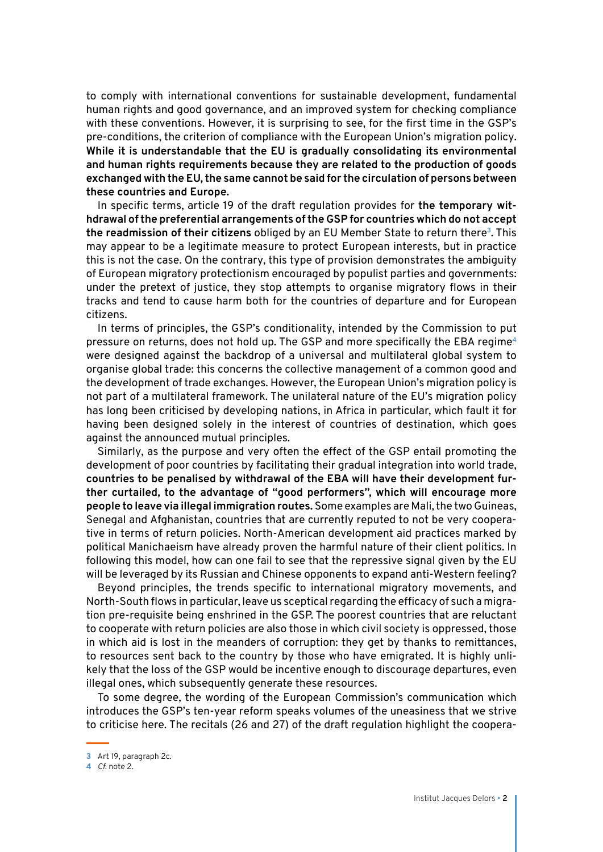to comply with international conventions for sustainable development, fundamental human rights and good governance, and an improved system for checking compliance with these conventions. However, it is surprising to see, for the first time in the GSP's pre-conditions, the criterion of compliance with the European Union's migration policy. **While it is understandable that the EU is gradually consolidating its environmental and human rights requirements because they are related to the production of goods exchanged with the EU, the same cannot be said for the circulation of persons between these countries and Europe.**

In specific terms, article 19 of the draft regulation provides for **the temporary withdrawal of the preferential arrangements of the GSP for countries which do not accept the readmission of their citizens** obliged by an EU Member State to return there**<sup>3</sup>**. This may appear to be a legitimate measure to protect European interests, but in practice this is not the case. On the contrary, this type of provision demonstrates the ambiguity of European migratory protectionism encouraged by populist parties and governments: under the pretext of justice, they stop attempts to organise migratory flows in their tracks and tend to cause harm both for the countries of departure and for European citizens.

In terms of principles, the GSP's conditionality, intended by the Commission to put pressure on returns, does not hold up. The GSP and more specifically the EBA regime**<sup>4</sup>** were designed against the backdrop of a universal and multilateral global system to organise global trade: this concerns the collective management of a common good and the development of trade exchanges. However, the European Union's migration policy is not part of a multilateral framework. The unilateral nature of the EU's migration policy has long been criticised by developing nations, in Africa in particular, which fault it for having been designed solely in the interest of countries of destination, which goes against the announced mutual principles.

Similarly, as the purpose and very often the effect of the GSP entail promoting the development of poor countries by facilitating their gradual integration into world trade, **countries to be penalised by withdrawal of the EBA will have their development further curtailed, to the advantage of "good performers", which will encourage more people to leave via illegal immigration routes.** Some examples are Mali, the two Guineas, Senegal and Afghanistan, countries that are currently reputed to not be very cooperative in terms of return policies. North-American development aid practices marked by political Manichaeism have already proven the harmful nature of their client politics. In following this model, how can one fail to see that the repressive signal given by the EU will be leveraged by its Russian and Chinese opponents to expand anti-Western feeling?

Beyond principles, the trends specific to international migratory movements, and North-South flows in particular, leave us sceptical regarding the efficacy of such a migration pre-requisite being enshrined in the GSP. The poorest countries that are reluctant to cooperate with return policies are also those in which civil society is oppressed, those in which aid is lost in the meanders of corruption: they get by thanks to remittances, to resources sent back to the country by those who have emigrated. It is highly unlikely that the loss of the GSP would be incentive enough to discourage departures, even illegal ones, which subsequently generate these resources.

To some degree, the wording of the European Commission's communication which introduces the GSP's ten-year reform speaks volumes of the uneasiness that we strive to criticise here. The recitals (26 and 27) of the draft regulation highlight the coopera-

**<sup>3</sup>** Art 19, paragraph 2c.

**<sup>4</sup>** *Cf.* note 2.